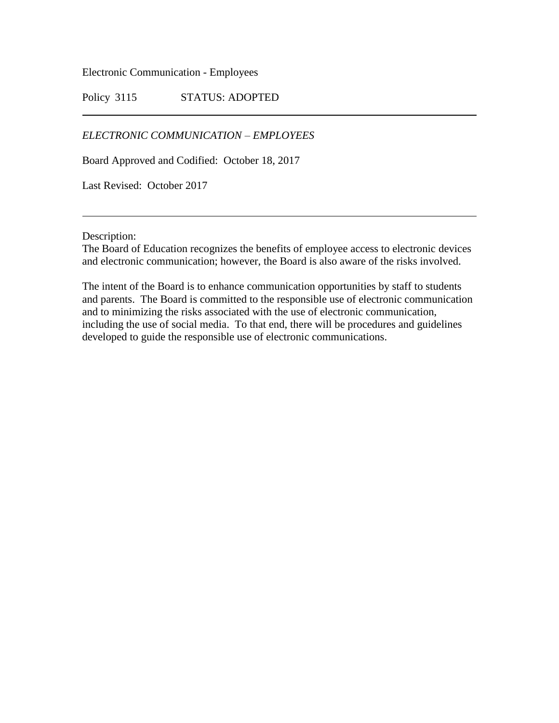Electronic Communication - Employees

Policy 3115 STATUS: ADOPTED

*ELECTRONIC COMMUNICATION – EMPLOYEES*

Board Approved and Codified: October 18, 2017

Last Revised: October 2017

Description:

The Board of Education recognizes the benefits of employee access to electronic devices and electronic communication; however, the Board is also aware of the risks involved.

The intent of the Board is to enhance communication opportunities by staff to students and parents. The Board is committed to the responsible use of electronic communication and to minimizing the risks associated with the use of electronic communication, including the use of social media. To that end, there will be procedures and guidelines developed to guide the responsible use of electronic communications.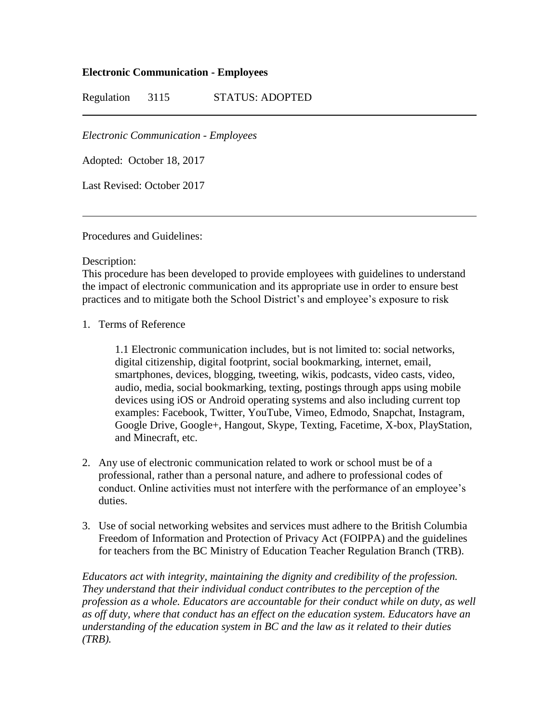## **Electronic Communication - Employees**

Regulation 3115 STATUS: ADOPTED

*Electronic Communication - Employees*

Adopted: October 18, 2017

Last Revised: October 2017

Procedures and Guidelines:

Description:

This procedure has been developed to provide employees with guidelines to understand the impact of electronic communication and its appropriate use in order to ensure best practices and to mitigate both the School District's and employee's exposure to risk

1. Terms of Reference

1.1 Electronic communication includes, but is not limited to: social networks, digital citizenship, digital footprint, social bookmarking, internet, email, smartphones, devices, blogging, tweeting, wikis, podcasts, video casts, video, audio, media, social bookmarking, texting, postings through apps using mobile devices using iOS or Android operating systems and also including current top examples: Facebook, Twitter, YouTube, Vimeo, Edmodo, Snapchat, Instagram, Google Drive, Google+, Hangout, Skype, Texting, Facetime, X-box, PlayStation, and Minecraft, etc.

- 2. Any use of electronic communication related to work or school must be of a professional, rather than a personal nature, and adhere to professional codes of conduct. Online activities must not interfere with the performance of an employee's duties.
- 3. Use of social networking websites and services must adhere to the British Columbia Freedom of Information and Protection of Privacy Act (FOIPPA) and the guidelines for teachers from the BC Ministry of Education Teacher Regulation Branch (TRB).

*Educators act with integrity, maintaining the dignity and credibility of the profession. They understand that their individual conduct contributes to the perception of the profession as a whole. Educators are accountable for their conduct while on duty, as well as off duty, where that conduct has an effect on the education system. Educators have an understanding of the education system in BC and the law as it related to their duties (TRB).*